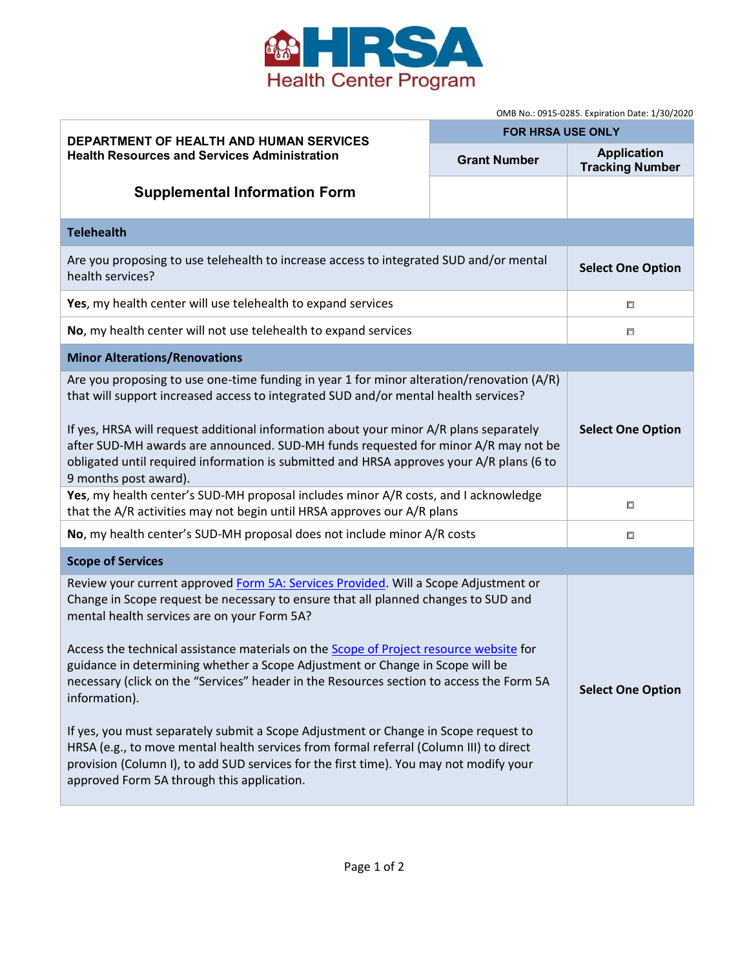

OMB No.: 0915-0285. Expiration Date: 1/30/2020

| DEPARTMENT OF HEALTH AND HUMAN SERVICES<br><b>Health Resources and Services Administration</b>                                                                                                                                                                                                                                                                                                                                                                                                                                                                                                                                                                                                                                                                                                                                                   | OIVID NO 0515-0285. EXPITATION DATE: 1/30/2020<br><b>FOR HRSA USE ONLY</b> |                                              |  |
|--------------------------------------------------------------------------------------------------------------------------------------------------------------------------------------------------------------------------------------------------------------------------------------------------------------------------------------------------------------------------------------------------------------------------------------------------------------------------------------------------------------------------------------------------------------------------------------------------------------------------------------------------------------------------------------------------------------------------------------------------------------------------------------------------------------------------------------------------|----------------------------------------------------------------------------|----------------------------------------------|--|
|                                                                                                                                                                                                                                                                                                                                                                                                                                                                                                                                                                                                                                                                                                                                                                                                                                                  | <b>Grant Number</b>                                                        | <b>Application</b><br><b>Tracking Number</b> |  |
| <b>Supplemental Information Form</b>                                                                                                                                                                                                                                                                                                                                                                                                                                                                                                                                                                                                                                                                                                                                                                                                             |                                                                            |                                              |  |
| <b>Telehealth</b>                                                                                                                                                                                                                                                                                                                                                                                                                                                                                                                                                                                                                                                                                                                                                                                                                                |                                                                            |                                              |  |
| Are you proposing to use telehealth to increase access to integrated SUD and/or mental<br>health services?                                                                                                                                                                                                                                                                                                                                                                                                                                                                                                                                                                                                                                                                                                                                       |                                                                            | <b>Select One Option</b>                     |  |
| Yes, my health center will use telehealth to expand services                                                                                                                                                                                                                                                                                                                                                                                                                                                                                                                                                                                                                                                                                                                                                                                     |                                                                            | 口                                            |  |
| No, my health center will not use telehealth to expand services                                                                                                                                                                                                                                                                                                                                                                                                                                                                                                                                                                                                                                                                                                                                                                                  |                                                                            | 口                                            |  |
| <b>Minor Alterations/Renovations</b>                                                                                                                                                                                                                                                                                                                                                                                                                                                                                                                                                                                                                                                                                                                                                                                                             |                                                                            |                                              |  |
| Are you proposing to use one-time funding in year 1 for minor alteration/renovation (A/R)<br>that will support increased access to integrated SUD and/or mental health services?<br>If yes, HRSA will request additional information about your minor A/R plans separately<br>after SUD-MH awards are announced. SUD-MH funds requested for minor A/R may not be<br>obligated until required information is submitted and HRSA approves your A/R plans (6 to<br>9 months post award).                                                                                                                                                                                                                                                                                                                                                            |                                                                            | <b>Select One Option</b>                     |  |
| Yes, my health center's SUD-MH proposal includes minor A/R costs, and I acknowledge<br>that the A/R activities may not begin until HRSA approves our A/R plans                                                                                                                                                                                                                                                                                                                                                                                                                                                                                                                                                                                                                                                                                   |                                                                            | 口                                            |  |
| No, my health center's SUD-MH proposal does not include minor A/R costs                                                                                                                                                                                                                                                                                                                                                                                                                                                                                                                                                                                                                                                                                                                                                                          |                                                                            | 口                                            |  |
| <b>Scope of Services</b>                                                                                                                                                                                                                                                                                                                                                                                                                                                                                                                                                                                                                                                                                                                                                                                                                         |                                                                            |                                              |  |
| Review your current approved Form 5A: Services Provided. Will a Scope Adjustment or<br>Change in Scope request be necessary to ensure that all planned changes to SUD and<br>mental health services are on your Form 5A?<br>Access the technical assistance materials on the <b>Scope of Project resource website</b> for<br>guidance in determining whether a Scope Adjustment or Change in Scope will be<br>necessary (click on the "Services" header in the Resources section to access the Form 5A<br>information).<br>If yes, you must separately submit a Scope Adjustment or Change in Scope request to<br>HRSA (e.g., to move mental health services from formal referral (Column III) to direct<br>provision (Column I), to add SUD services for the first time). You may not modify your<br>approved Form 5A through this application. |                                                                            | <b>Select One Option</b>                     |  |